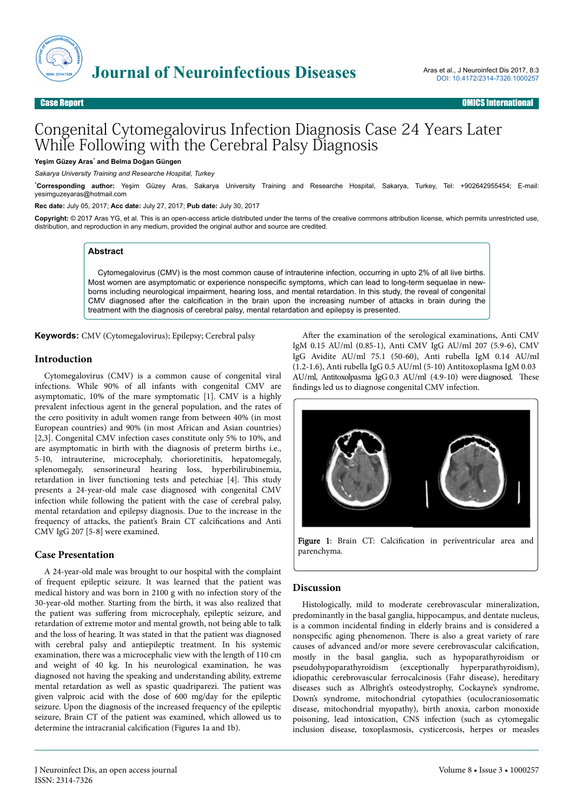

# Congenital Cytomegalovirus Infection Diagnosis Case 24 Years Later While Following with the Cerebral Palsy Diagnosis

**Yeşim Güzey Aras**\*  **and Belma Doğan Güngen**

*Sakarya University Training and Researche Hospital, Turkey*

\***Corresponding author:** Yeşim Güzey Aras, Sakarya University Training and Researche Hospital, Sakarya, Turkey, Tel: +902642955454; E-mail: yesimguzeyaras@hotmail.com

**Rec date:** July 05, 2017; **Acc date:** July 27, 2017; **Pub date:** July 30, 2017

**Copyright:** © 2017 Aras YG, et al. This is an open-access article distributed under the terms of the creative commons attribution license, which permits unrestricted use, distribution, and reproduction in any medium, provided the original author and source are credited.

#### **Abstract**

Cytomegalovirus (CMV) is the most common cause of intrauterine infection, occurring in upto 2% of all live births. Most women are asymptomatic or experience nonspecific symptoms, which can lead to long-term sequelae in newborns including neurological impairment, hearing loss, and mental retardation. In this study, the reveal of congenital CMV diagnosed after the calcification in the brain upon the increasing number of attacks in brain during the treatment with the diagnosis of cerebral palsy, mental retardation and epilepsy is presented.

**Keywords:** CMV (Cytomegalovirus); Epilepsy; Cerebral palsy

#### **Introduction**

Cytomegalovirus (CMV) is a common cause of congenital viral infections. While 90% of all infants with congenital CMV are asymptomatic, 10% of the mare symptomatic [1]. CMV is a highly prevalent infectious agent in the general population, and the rates of the cero positivity in adult women range from between 40% (in most European countries) and 90% (in most African and Asian countries) [2,3]. Congenital CMV infection cases constitute only 5% to 10%, and are asymptomatic in birth with the diagnosis of preterm births i.e., 5-10, intrauterine, microcephaly, chorioretinitis, hepatomegaly, splenomegaly, sensorineural hearing loss, hyperbilirubinemia, retardation in liver functioning tests and petechiae [4]. This study presents a 24-year-old male case diagnosed with congenital CMV infection while following the patient with the case of cerebral palsy, mental retardation and epilepsy diagnosis. Due to the increase in the frequency of attacks, the patient's Brain CT calcifications and Anti CMV IgG 207 [5-8] were examined.

## **Case Presentation**

A 24-year-old male was brought to our hospital with the complaint of frequent epileptic seizure. It was learned that the patient was medical history and was born in 2100 g with no infection story of the 30-year-old mother. Starting from the birth, it was also realized that the patient was suffering from microcephaly, epileptic seizure, and retardation of extreme motor and mental growth, not being able to talk and the loss of hearing. It was stated in that the patient was diagnosed with cerebral palsy and antiepileptic treatment. In his systemic examination, there was a microcephalic view with the length of 110 cm and weight of 40 kg. In his neurological examination, he was diagnosed not having the speaking and understanding ability, extreme mental retardation as well as spastic quadriparezi. Нe patient was given valproic acid with the dose of 600 mg/day for the epileptic seizure. Upon the diagnosis of the increased frequency of the epileptic seizure, Brain CT of the patient was examined, which allowed us to determine the intracranial calcification (Figures 1a and 1b).

After the examination of the serological examinations, Anti CMV IgM 0.15 AU/ml (0.85-1), Anti CMV IgG AU/ml 207 (5.9-6), CMV IgG Avidite AU/ml 75.1 (50-60), Anti rubella IgM 0.14 AU/ml (1.2-1.6), Anti rubella IgG 0.5 AU/ml (5-10) Antitoxoplasma IgM 0.03 AU/ml, Antitoxolpasma IgG 0.3 AU/ml (4.9-10) were diagnosed. These findings led us to diagnose congenital CMV infection.



Figure 1: Brain CT: Calcification in periventricular area and parenchyma.

## **Discussion**

Histologically, mild to moderate cerebrovascular mineralization, predominantly in the basal ganglia, hippocampus, and dentate nucleus, is a common incidental finding in elderly brains and is considered a nonspecific aging phenomenon. There is also a great variety of rare causes of advanced and/or more severe cerebrovascular calcification, mostly in the basal ganglia, such as hypoparathyroidism or pseudohypoparathyroidism (exceptionally hyperparathyroidism), idiopathic cerebrovascular ferrocalcinosis (Fahr disease), hereditary diseases such as Albright's osteodystrophy, Cockayne's syndrome, Down's syndrome, mitochondrial cytopathies (oculocraniosomatic disease, mitochondrial myopathy), birth anoxia, carbon monoxide poisoning, lead intoxication, CNS infection (such as cytomegalic inclusion disease, toxoplasmosis, cysticercosis, herpes or measles